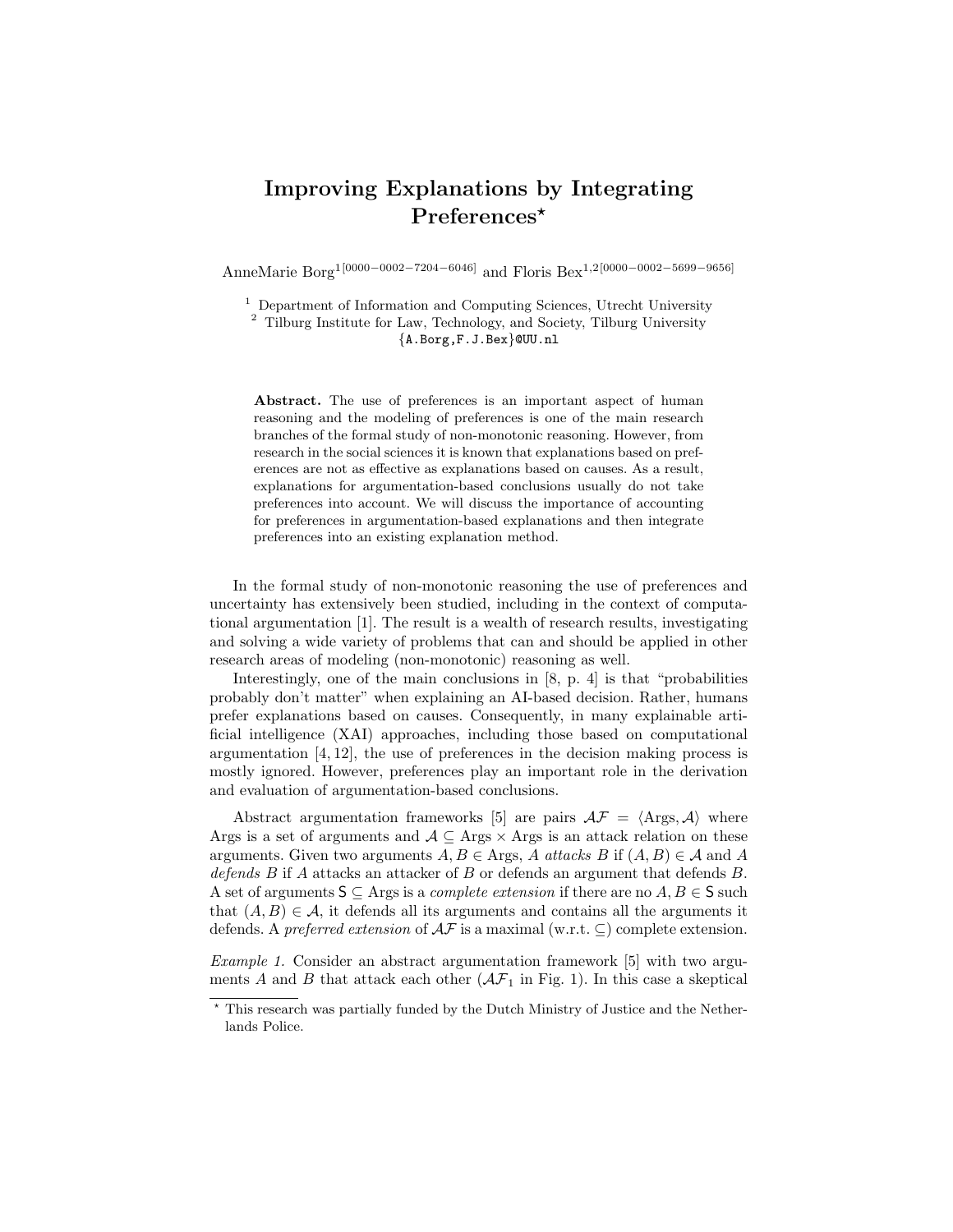## Improving Explanations by Integrating Preferences<sup>\*</sup>

AnneMarie Borg1[0000−0002−7204−6046] and Floris Bex1,2[0000−0002−5699−9656]

 $^{\rm 1}$  Department of Information and Computing Sciences, Utrecht University

<sup>2</sup> Tilburg Institute for Law, Technology, and Society, Tilburg University {A.Borg,F.J.Bex}@UU.nl

Abstract. The use of preferences is an important aspect of human reasoning and the modeling of preferences is one of the main research branches of the formal study of non-monotonic reasoning. However, from research in the social sciences it is known that explanations based on preferences are not as effective as explanations based on causes. As a result, explanations for argumentation-based conclusions usually do not take preferences into account. We will discuss the importance of accounting for preferences in argumentation-based explanations and then integrate preferences into an existing explanation method.

In the formal study of non-monotonic reasoning the use of preferences and uncertainty has extensively been studied, including in the context of computational argumentation [1]. The result is a wealth of research results, investigating and solving a wide variety of problems that can and should be applied in other research areas of modeling (non-monotonic) reasoning as well.

Interestingly, one of the main conclusions in [8, p. 4] is that "probabilities probably don't matter" when explaining an AI-based decision. Rather, humans prefer explanations based on causes. Consequently, in many explainable artificial intelligence (XAI) approaches, including those based on computational argumentation [4, 12], the use of preferences in the decision making process is mostly ignored. However, preferences play an important role in the derivation and evaluation of argumentation-based conclusions.

Abstract argumentation frameworks [5] are pairs  $A\mathcal{F} = \langle \text{Args}, \mathcal{A} \rangle$  where Args is a set of arguments and  $A \subseteq \text{Args} \times \text{Args}$  is an attack relation on these arguments. Given two arguments  $A, B \in \text{Args}, A \text{ attacks } B \text{ if } (A, B) \in \mathcal{A} \text{ and } A$ defends B if A attacks an attacker of B or defends an argument that defends B. A set of arguments  $S \subseteq \text{Args is a *complete extension* if there are no  $A, B \in S$  such$ that  $(A, B) \in \mathcal{A}$ , it defends all its arguments and contains all the arguments it defends. A preferred extension of  $\mathcal{AF}$  is a maximal (w.r.t.  $\subseteq$ ) complete extension.

Example 1. Consider an abstract argumentation framework [5] with two arguments A and B that attack each other  $(\mathcal{AF}_1$  in Fig. 1). In this case a skeptical

<sup>?</sup> This research was partially funded by the Dutch Ministry of Justice and the Netherlands Police.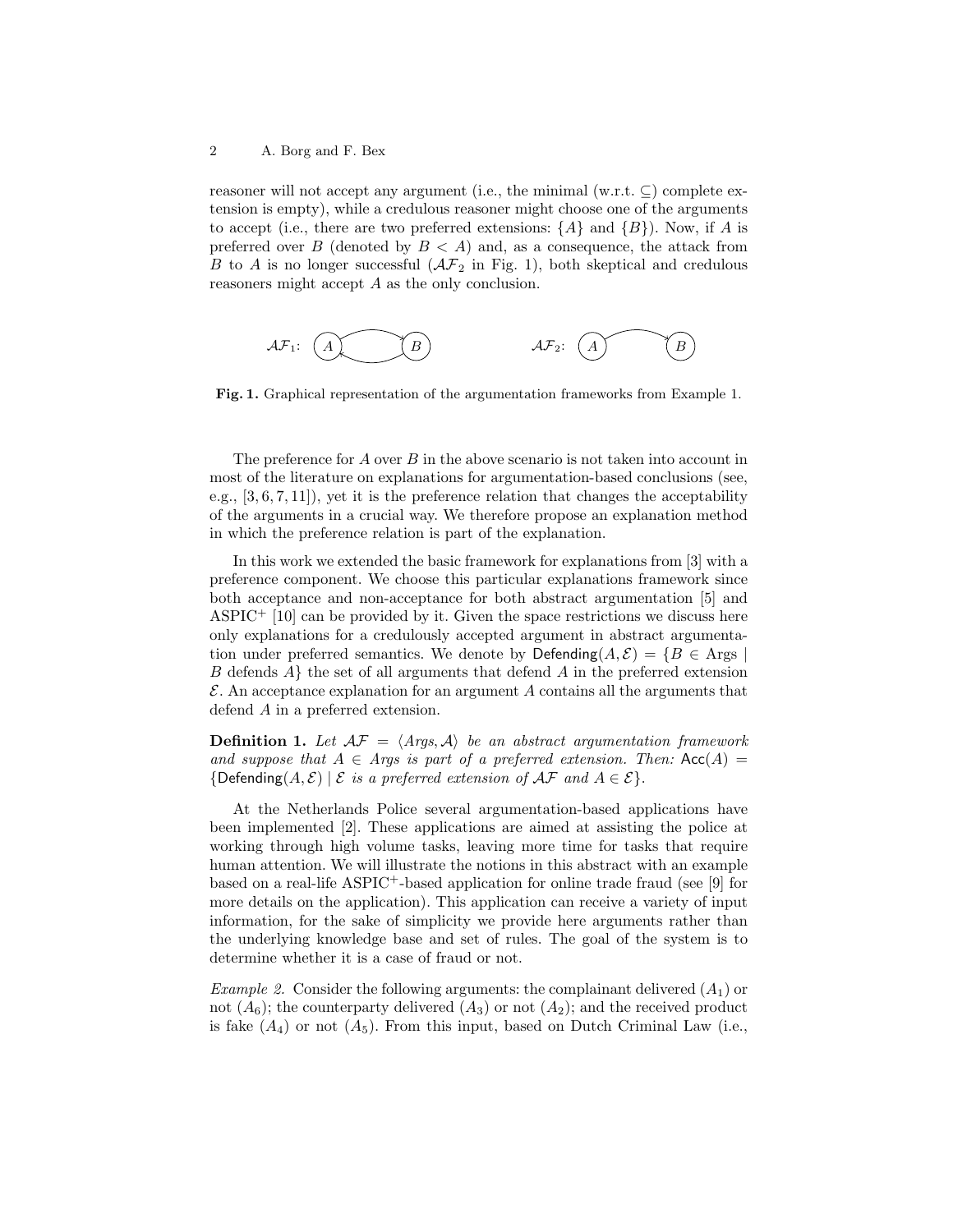reasoner will not accept any argument (i.e., the minimal  $(w.r.t. \subseteq)$  complete extension is empty), while a credulous reasoner might choose one of the arguments to accept (i.e., there are two preferred extensions:  $\{A\}$  and  $\{B\}$ ). Now, if A is preferred over B (denoted by  $B < A$ ) and, as a consequence, the attack from B to A is no longer successful  $(\mathcal{AF}_2$  in Fig. 1), both skeptical and credulous reasoners might accept A as the only conclusion.

$$
\mathcal{AF}_1: \quad \begin{array}{ccc}\n & & & \\
 & & & \\
\hline\n & & & \\
 & & & \\
\end{array}
$$

Fig. 1. Graphical representation of the argumentation frameworks from Example 1.

The preference for  $A$  over  $B$  in the above scenario is not taken into account in most of the literature on explanations for argumentation-based conclusions (see, e.g.,  $[3, 6, 7, 11]$ , yet it is the preference relation that changes the acceptability of the arguments in a crucial way. We therefore propose an explanation method in which the preference relation is part of the explanation.

In this work we extended the basic framework for explanations from [3] with a preference component. We choose this particular explanations framework since both acceptance and non-acceptance for both abstract argumentation [5] and  $\text{ASPIC}^+$  [10] can be provided by it. Given the space restrictions we discuss here only explanations for a credulously accepted argument in abstract argumentation under preferred semantics. We denote by Defending $(A, \mathcal{E}) = \{B \in \text{Args} \mid$ B defends  $A\}$  the set of all arguments that defend A in the preferred extension  $\mathcal E$ . An acceptance explanation for an argument A contains all the arguments that defend A in a preferred extension.

**Definition 1.** Let  $AF = \langle Args, A \rangle$  be an abstract argumentation framework and suppose that  $A \in \text{Arg}$  is part of a preferred extension. Then: Acc(A) = {Defending( $A, \mathcal{E}$ ) |  $\mathcal E$  is a preferred extension of  $\mathcal{AF}$  and  $A \in \mathcal{E}$ }.

At the Netherlands Police several argumentation-based applications have been implemented [2]. These applications are aimed at assisting the police at working through high volume tasks, leaving more time for tasks that require human attention. We will illustrate the notions in this abstract with an example based on a real-life ASPIC<sup>+</sup>-based application for online trade fraud (see [9] for more details on the application). This application can receive a variety of input information, for the sake of simplicity we provide here arguments rather than the underlying knowledge base and set of rules. The goal of the system is to determine whether it is a case of fraud or not.

*Example 2.* Consider the following arguments: the complainant delivered  $(A_1)$  or not  $(A_6)$ ; the counterparty delivered  $(A_3)$  or not  $(A_2)$ ; and the received product is fake  $(A_4)$  or not  $(A_5)$ . From this input, based on Dutch Criminal Law (i.e.,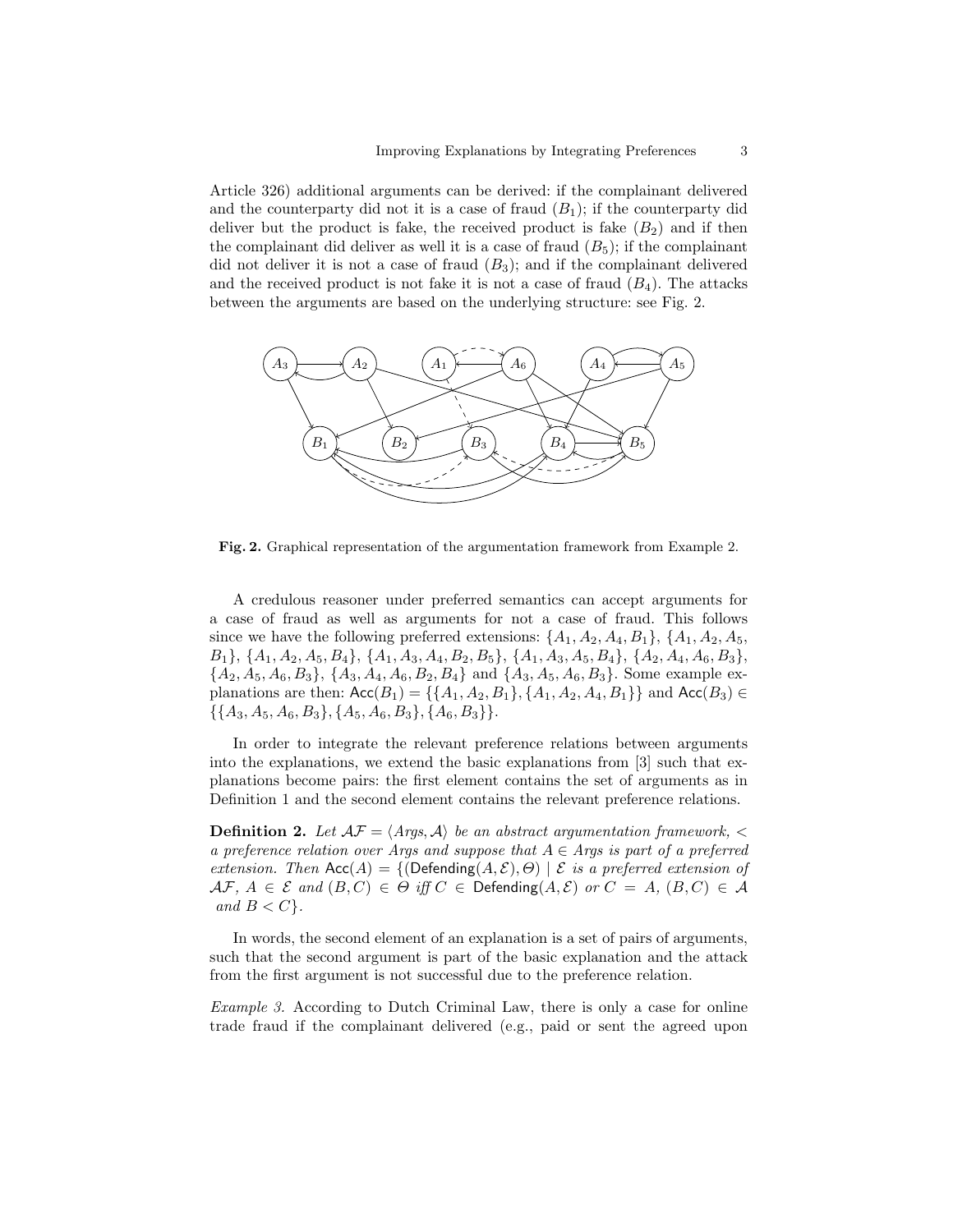Article 326) additional arguments can be derived: if the complainant delivered and the counterparty did not it is a case of fraud  $(B_1)$ ; if the counterparty did deliver but the product is fake, the received product is fake  $(B_2)$  and if then the complainant did deliver as well it is a case of fraud  $(B_5)$ ; if the complainant did not deliver it is not a case of fraud  $(B_3)$ ; and if the complainant delivered and the received product is not fake it is not a case of fraud  $(B_4)$ . The attacks between the arguments are based on the underlying structure: see Fig. 2.



Fig. 2. Graphical representation of the argumentation framework from Example 2.

A credulous reasoner under preferred semantics can accept arguments for a case of fraud as well as arguments for not a case of fraud. This follows since we have the following preferred extensions:  $\{A_1, A_2, A_4, B_1\}$ ,  $\{A_1, A_2, A_5, A_6\}$  $B_1$ ,  $\{A_1, A_2, A_5, B_4\}$ ,  $\{A_1, A_3, A_4, B_2, B_5\}$ ,  $\{A_1, A_3, A_5, B_4\}$ ,  $\{A_2, A_4, A_6, B_3\}$ ,  ${A_2, A_5, A_6, B_3}, {A_3, A_4, A_6, B_2, B_4}$  and  ${A_3, A_5, A_6, B_3}$ . Some example explanations are then:  $Acc(B_1) = \{\{A_1, A_2, B_1\}, \{A_1, A_2, A_4, B_1\}\}\$ and  $Acc(B_3) \in$  $\{\{A_3, A_5, A_6, B_3\}, \{A_5, A_6, B_3\}, \{A_6, B_3\}\}.$ 

In order to integrate the relevant preference relations between arguments into the explanations, we extend the basic explanations from [3] such that explanations become pairs: the first element contains the set of arguments as in Definition 1 and the second element contains the relevant preference relations.

**Definition 2.** Let  $\mathcal{AF} = \langle \mathit{Args}, \mathit{A} \rangle$  be an abstract argumentation framework, < a preference relation over Args and suppose that  $A \in \text{Args}$  is part of a preferred extension. Then Acc(A) = {(Defending(A, E),  $\Theta$ ) | E is a preferred extension of  $\mathcal{AF}, A \in \mathcal{E}$  and  $(B, C) \in \Theta$  iff  $C \in \mathsf{Defending}(A, \mathcal{E})$  or  $C = A$ ,  $(B, C) \in \mathcal{A}$ and  $B < C$ .

In words, the second element of an explanation is a set of pairs of arguments, such that the second argument is part of the basic explanation and the attack from the first argument is not successful due to the preference relation.

Example 3. According to Dutch Criminal Law, there is only a case for online trade fraud if the complainant delivered (e.g., paid or sent the agreed upon